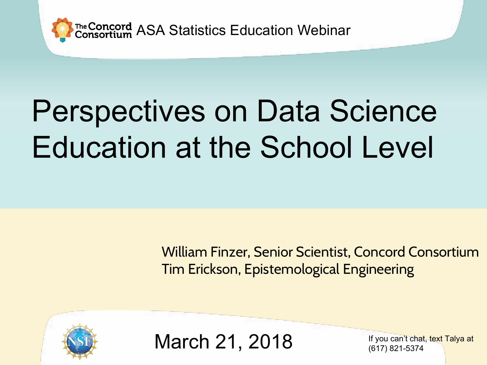

The Concord ASA Statistics Education Webinar

# Perspectives on Data Science Education at the School Level

William Finzer, Senior Scientist, Concord Consortium Tim Erickson, Epistemological Engineering



March 21, 2018

If you can't chat, text Talya at (617) 821-5374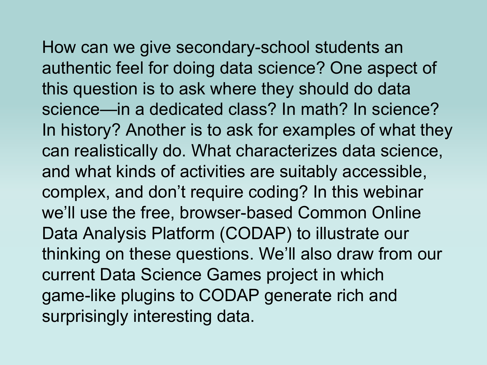How can we give secondary-school students an

authentic feel for doing data science? One aspect of this question is to ask where they should do data science—in a dedicated class? In math? In science? In history? Another is to ask for examples of what they can realistically do. What characterizes data science, and what kinds of activities are suitably accessible, complex, and don't require coding? In this webinar we'll use the free, browser-based Common Online Data Analysis Platform (CODAP) to illustrate our thinking on these questions. We'll also draw from our current Data Science Games project in which game-like plugins to CODAP generate rich and surprisingly interesting data.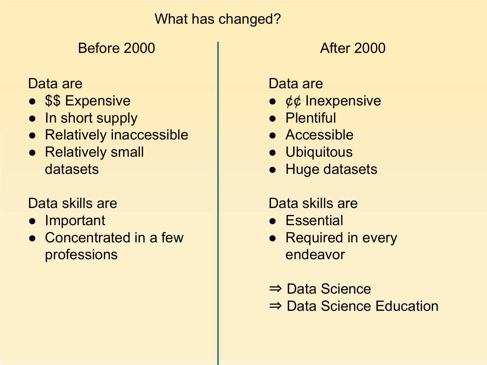#### What has changed?

# Before 2000 and the contract of the Before 2000

#### Data are

- \$\$ Expensive
- In short supply
- Relatively inaccessible
- Relatively small datasets

## Data skills are

- Important
- Concentrated in a few professions

Data are

- ¢¢ Inexpensive
- Plentiful
- Accessible
- Ubiquitous
- Huge datasets

## Data skills are

- Essential
- Required in every endeavor
- ⇒ Data Science
- ⇒ Data Science Education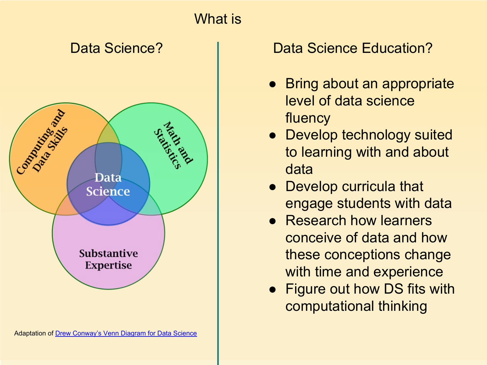

### Data Science? The Color Data Science Education?

- Bring about an appropriate level of data science fluency
- Develop technology suited to learning with and about data
- Develop curricula that engage students with data
- Research how learners conceive of data and how these conceptions change with time and experience
- Figure out how DS fits with computational thinking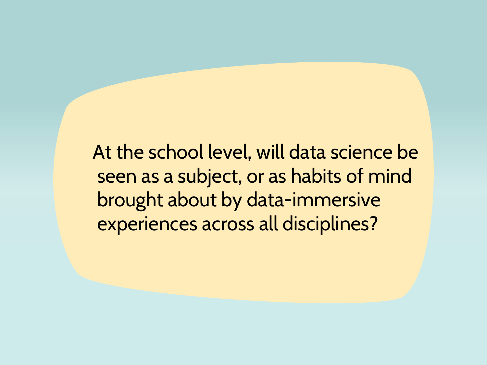At the school level, will data science be seen as a subject, or as habits of mind brought about by data-immersive experiences across all disciplines?